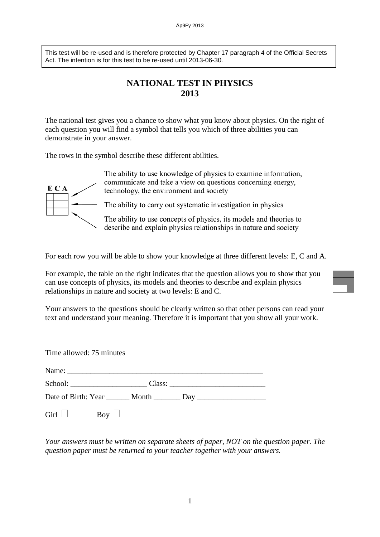This test will be re-used and is therefore protected by Chapter 17 paragraph 4 of the Official Secrets Act. The intention is for this test to be re-used until 2013-06-30.

## **NATIONAL TEST IN PHYSICS 2013**

The national test gives you a chance to show what you know about physics. On the right of each question you will find a symbol that tells you which of three abilities you can demonstrate in your answer.

The rows in the symbol describe these different abilities.



The ability to use knowledge of physics to examine information, communicate and take a view on questions concerning energy, technology, the environment and society

The ability to carry out systematic investigation in physics

The ability to use concepts of physics, its models and theories to describe and explain physics relationships in nature and society

For each row you will be able to show your knowledge at three different levels: E, C and A.

For example, the table on the right indicates that the question allows you to show that you can use concepts of physics, its models and theories to describe and explain physics relationships in nature and society at two levels: E and C.

Your answers to the questions should be clearly written so that other persons can read your text and understand your meaning. Therefore it is important that you show all your work.

Time allowed: 75 minutes Name: \_\_\_\_\_\_\_\_\_\_\_\_\_\_\_\_\_\_\_\_\_\_\_\_\_\_\_\_\_\_\_\_\_\_\_\_\_\_\_\_\_\_\_\_\_\_\_\_\_\_\_ School: \_\_\_\_\_\_\_\_\_\_\_\_\_\_\_\_\_\_\_\_ Class: \_\_\_\_\_\_\_\_\_\_\_\_\_\_\_\_\_\_\_\_\_\_\_\_\_ Date of Birth: Year Month Day Girl  $\Box$  Boy  $\Box$ 

*Your answers must be written on separate sheets of paper, NOT on the question paper. The question paper must be returned to your teacher together with your answers.*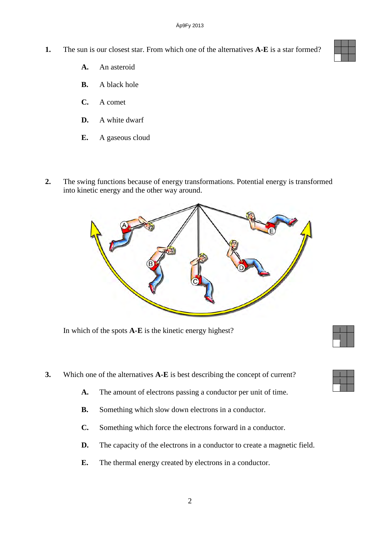- **1.** The sun is our closest star. From which one of the alternatives **A-E** is a star formed?
	- **A.** An asteroid
	- **B.** A black hole
	- **C.** A comet
	- **D.** A white dwarf
	- **E.** A gaseous cloud
- **2.** The swing functions because of energy transformations. Potential energy is transformed into kinetic energy and the other way around.



In which of the spots **A-E** is the kinetic energy highest?

- **3.** Which one of the alternatives **A-E** is best describing the concept of current?
	- **A.** The amount of electrons passing a conductor per unit of time.
	- **B.** Something which slow down electrons in a conductor.
	- **C.** Something which force the electrons forward in a conductor.
	- **D.** The capacity of the electrons in a conductor to create a magnetic field.
	- **E.** The thermal energy created by electrons in a conductor.

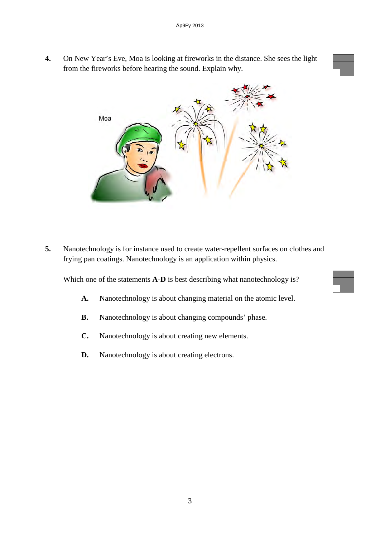**4.** On New Year's Eve, Moa is looking at fireworks in the distance. She sees the light from the fireworks before hearing the sound. Explain why.



**5.** Nanotechnology is for instance used to create water-repellent surfaces on clothes and frying pan coatings. Nanotechnology is an application within physics.

Which one of the statements **A-D** is best describing what nanotechnology is?

- **A.** Nanotechnology is about changing material on the atomic level.
- **B.** Nanotechnology is about changing compounds' phase.
- **C.** Nanotechnology is about creating new elements.
- **D.** Nanotechnology is about creating electrons.

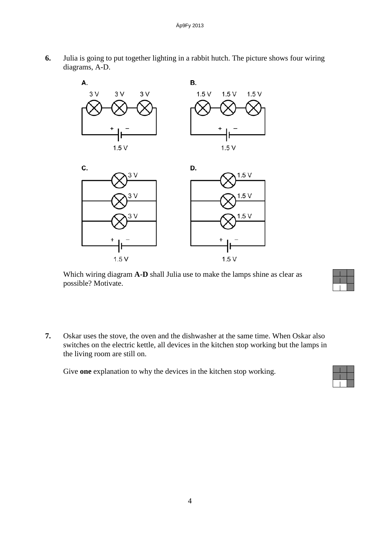

**6.** Julia is going to put together lighting in a rabbit hutch. The picture shows four wiring diagrams, A-D.

Which wiring diagram **A-D** shall Julia use to make the lamps shine as clear as possible? Motivate.



**7.** Oskar uses the stove, the oven and the dishwasher at the same time. When Oskar also switches on the electric kettle, all devices in the kitchen stop working but the lamps in the living room are still on.

Give **one** explanation to why the devices in the kitchen stop working.

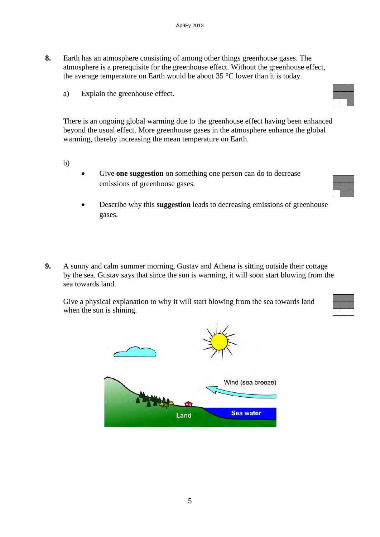- **8.** Earth has an atmosphere consisting of among other things greenhouse gases. The atmosphere is a prerequisite for the greenhouse effect. Without the greenhouse effect, the average temperature on Earth would be about 35 **°**C lower than it is today.
	- a) Explain the greenhouse effect.

There is an ongoing global warming due to the greenhouse effect having been enhanced beyond the usual effect. More greenhouse gases in the atmosphere enhance the global warming, thereby increasing the mean temperature on Earth.

- b)
- Give **one suggestion** on something one person can do to decrease emissions of greenhouse gases.
- Describe why this **suggestion** leads to decreasing emissions of greenhouse gases.
- **9.** A sunny and calm summer morning, Gustav and Athena is sitting outside their cottage by the sea. Gustav says that since the sun is warming, it will soon start blowing from the sea towards land.

Give a physical explanation to why it will start blowing from the sea towards land when the sun is shining.



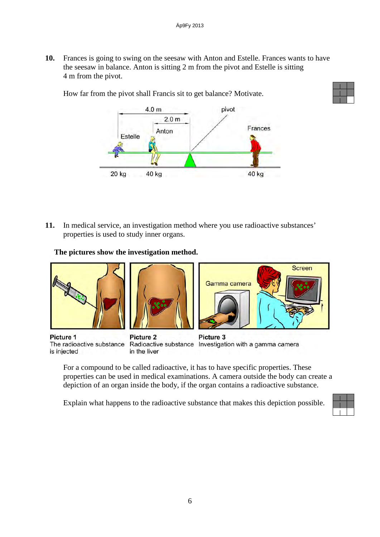**10.** Frances is going to swing on the seesaw with Anton and Estelle. Frances wants to have the seesaw in balance. Anton is sitting 2 m from the pivot and Estelle is sitting 4 m from the pivot.

How far from the pivot shall Francis sit to get balance? Motivate.



**11.** In medical service, an investigation method where you use radioactive substances' properties is used to study inner organs.

**The pictures show the investigation method.**



The radioactive substance is injected

Radioactive substance Investigation with a gamma camera in the liver

For a compound to be called radioactive, it has to have specific properties. These properties can be used in medical examinations. A camera outside the body can create a depiction of an organ inside the body, if the organ contains a radioactive substance.

Explain what happens to the radioactive substance that makes this depiction possible.